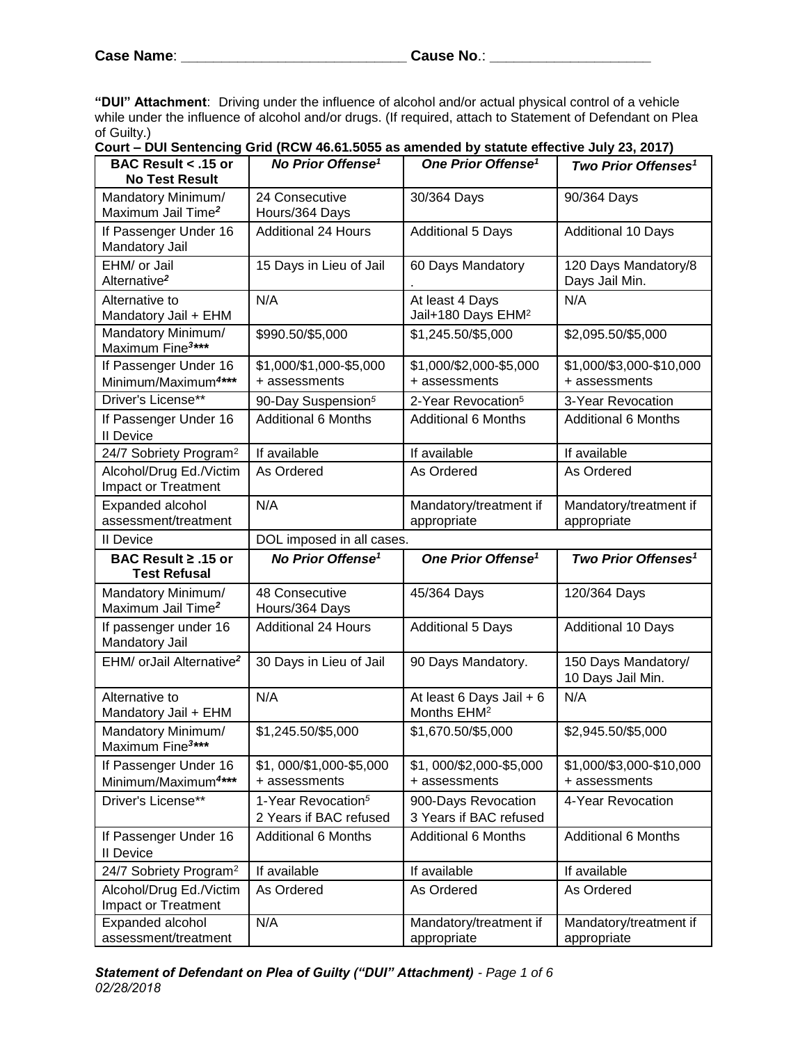**"DUI" Attachment**:Driving under the influence of alcohol and/or actual physical control of a vehicle while under the influence of alcohol and/or drugs. (If required, attach to Statement of Defendant on Plea of Guilty.)

**Court – DUI Sentencing Grid (RCW 46.61.5055 as amended by statute effective July 23, 2017)**

| <b>BAC Result &lt; .15 or</b><br><b>No Test Result</b>   | No Prior Offense <sup>1</sup>                            | One Prior Offense <sup>1</sup>                      | Two Prior Offenses <sup>1</sup>           |
|----------------------------------------------------------|----------------------------------------------------------|-----------------------------------------------------|-------------------------------------------|
| Mandatory Minimum/<br>Maximum Jail Time <sup>2</sup>     | 24 Consecutive<br>Hours/364 Days                         | 30/364 Days                                         | 90/364 Days                               |
| If Passenger Under 16<br>Mandatory Jail                  | <b>Additional 24 Hours</b>                               | <b>Additional 5 Days</b>                            | <b>Additional 10 Days</b>                 |
| EHM/ or Jail<br>Alternative <sup>2</sup>                 | 15 Days in Lieu of Jail                                  | 60 Days Mandatory                                   | 120 Days Mandatory/8<br>Days Jail Min.    |
| Alternative to<br>Mandatory Jail + EHM                   | N/A                                                      | At least 4 Days<br>Jail+180 Days EHM <sup>2</sup>   | N/A                                       |
| Mandatory Minimum/<br>Maximum Fine <sup>3***</sup>       | \$990.50/\$5,000                                         | \$1,245.50/\$5,000                                  | \$2,095.50/\$5,000                        |
| If Passenger Under 16<br>Minimum/Maximum <sup>4***</sup> | \$1,000/\$1,000-\$5,000<br>+ assessments                 | \$1,000/\$2,000-\$5,000<br>+ assessments            | \$1,000/\$3,000-\$10,000<br>+ assessments |
| Driver's License**                                       | 90-Day Suspension <sup>5</sup>                           | 2-Year Revocation <sup>5</sup>                      | 3-Year Revocation                         |
| If Passenger Under 16<br><b>II</b> Device                | <b>Additional 6 Months</b>                               | <b>Additional 6 Months</b>                          | <b>Additional 6 Months</b>                |
| 24/7 Sobriety Program <sup>2</sup>                       | If available                                             | If available                                        | If available                              |
| Alcohol/Drug Ed./Victim<br>Impact or Treatment           | As Ordered                                               | As Ordered                                          | As Ordered                                |
| Expanded alcohol<br>assessment/treatment                 | N/A                                                      | Mandatory/treatment if<br>appropriate               | Mandatory/treatment if<br>appropriate     |
| <b>II</b> Device                                         | DOL imposed in all cases.                                |                                                     |                                           |
| BAC Result ≥ .15 or<br><b>Test Refusal</b>               | No Prior Offense <sup>1</sup>                            | One Prior Offense <sup>1</sup>                      | Two Prior Offenses <sup>1</sup>           |
| Mandatory Minimum/<br>Maximum Jail Time <sup>2</sup>     | 48 Consecutive<br>Hours/364 Days                         | 45/364 Days                                         | 120/364 Days                              |
| If passenger under 16<br>Mandatory Jail                  | <b>Additional 24 Hours</b>                               | <b>Additional 5 Days</b>                            | <b>Additional 10 Days</b>                 |
| EHM/ orJail Alternative <sup>2</sup>                     | 30 Days in Lieu of Jail                                  | 90 Days Mandatory.                                  | 150 Days Mandatory/<br>10 Days Jail Min.  |
| Alternative to<br>Mandatory Jail + EHM                   | N/A                                                      | At least 6 Days Jail + 6<br>Months EHM <sup>2</sup> | N/A                                       |
| Mandatory Minimum/<br>Maximum Fine <sup>3***</sup>       | \$1,245.50/\$5,000                                       | \$1,670.50/\$5,000                                  | \$2,945.50/\$5,000                        |
| If Passenger Under 16<br>Minimum/Maximum4***             | \$1,000/\$1,000-\$5,000<br>+ assessments                 | \$1,000/\$2,000-\$5,000<br>+ assessments            | \$1,000/\$3,000-\$10,000<br>+ assessments |
| Driver's License**                                       | 1-Year Revocation <sup>5</sup><br>2 Years if BAC refused | 900-Days Revocation<br>3 Years if BAC refused       | 4-Year Revocation                         |
| If Passenger Under 16<br><b>II</b> Device                | <b>Additional 6 Months</b>                               | <b>Additional 6 Months</b>                          | <b>Additional 6 Months</b>                |
| 24/7 Sobriety Program <sup>2</sup>                       | If available                                             | If available                                        | If available                              |
| Alcohol/Drug Ed./Victim<br>Impact or Treatment           | As Ordered                                               | As Ordered                                          | As Ordered                                |
| Expanded alcohol<br>assessment/treatment                 | N/A                                                      | Mandatory/treatment if<br>appropriate               | Mandatory/treatment if<br>appropriate     |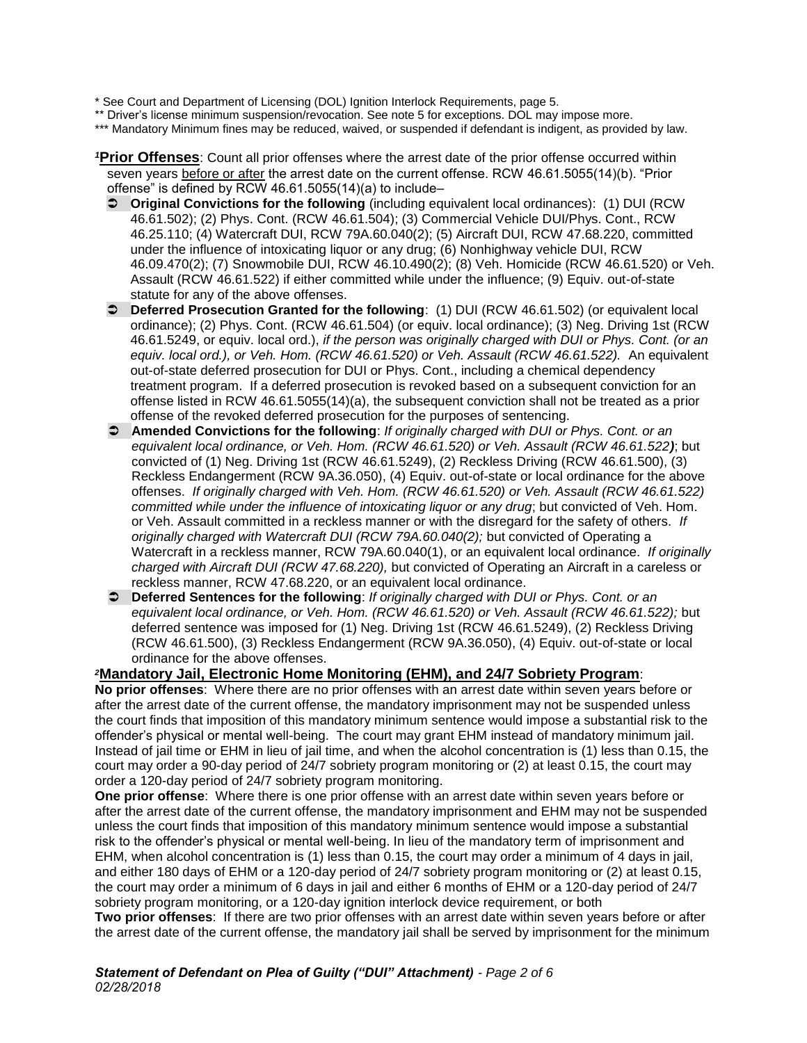\* See Court and Department of Licensing (DOL) Ignition Interlock Requirements, page 5.

\*\* Driver's license minimum suspension/revocation. See note 5 for exceptions. DOL may impose more.

\*\*\* Mandatory Minimum fines may be reduced, waived, or suspended if defendant is indigent, as provided by law.

*<sup>1</sup>***Prior Offenses**: Count all prior offenses where the arrest date of the prior offense occurred within seven years before or after the arrest date on the current offense. RCW 46.61.5055(14)(b). "Prior offense" is defined by RCW 46.61.5055(14)(a) to include–

- **Original Convictions for the following** (including equivalent local ordinances): (1) DUI (RCW 46.61.502); (2) Phys. Cont. (RCW 46.61.504); (3) Commercial Vehicle DUI/Phys. Cont., RCW 46.25.110; (4) Watercraft DUI, RCW 79A.60.040(2); (5) Aircraft DUI, RCW 47.68.220, committed under the influence of intoxicating liquor or any drug; (6) Nonhighway vehicle DUI, RCW 46.09.470(2); (7) Snowmobile DUI, RCW 46.10.490(2); (8) Veh. Homicide (RCW 46.61.520) or Veh. Assault (RCW 46.61.522) if either committed while under the influence; (9) Equiv. out-of-state statute for any of the above offenses.
- **Deferred Prosecution Granted for the following**: (1) DUI (RCW 46.61.502) (or equivalent local ordinance); (2) Phys. Cont. (RCW 46.61.504) (or equiv. local ordinance); (3) Neg. Driving 1st (RCW 46.61.5249, or equiv. local ord.), *if the person was originally charged with DUI or Phys. Cont. (or an equiv. local ord.), or Veh. Hom. (RCW 46.61.520) or Veh. Assault (RCW 46.61.522).* An equivalent out-of-state deferred prosecution for DUI or Phys. Cont., including a chemical dependency treatment program. If a deferred prosecution is revoked based on a subsequent conviction for an offense listed in RCW 46.61.5055(14)(a), the subsequent conviction shall not be treated as a prior offense of the revoked deferred prosecution for the purposes of sentencing.
- **Amended Convictions for the following**: *If originally charged with DUI or Phys. Cont. or an equivalent local ordinance, or Veh. Hom. (RCW 46.61.520) or Veh. Assault (RCW 46.61.522)*; but convicted of (1) Neg. Driving 1st (RCW 46.61.5249), (2) Reckless Driving (RCW 46.61.500), (3) Reckless Endangerment (RCW 9A.36.050), (4) Equiv. out-of-state or local ordinance for the above offenses. *If originally charged with Veh. Hom. (RCW 46.61.520) or Veh. Assault (RCW 46.61.522) committed while under the influence of intoxicating liquor or any drug*; but convicted of Veh. Hom. or Veh. Assault committed in a reckless manner or with the disregard for the safety of others. *If originally charged with Watercraft DUI (RCW 79A.60.040(2);* but convicted of Operating a Watercraft in a reckless manner, RCW 79A.60.040(1), or an equivalent local ordinance. *If originally charged with Aircraft DUI (RCW 47.68.220),* but convicted of Operating an Aircraft in a careless or reckless manner, RCW 47.68.220, or an equivalent local ordinance.
- **Deferred Sentences for the following**: *If originally charged with DUI or Phys. Cont. or an equivalent local ordinance, or Veh. Hom. (RCW 46.61.520) or Veh. Assault (RCW 46.61.522);* but deferred sentence was imposed for (1) Neg. Driving 1st (RCW 46.61.5249), (2) Reckless Driving (RCW 46.61.500), (3) Reckless Endangerment (RCW 9A.36.050), (4) Equiv. out-of-state or local ordinance for the above offenses.

*<sup>2</sup>***Mandatory Jail, Electronic Home Monitoring (EHM), and 24/7 Sobriety Program**: **No prior offenses**: Where there are no prior offenses with an arrest date within seven years before or after the arrest date of the current offense, the mandatory imprisonment may not be suspended unless the court finds that imposition of this mandatory minimum sentence would impose a substantial risk to the offender's physical or mental well-being. The court may grant EHM instead of mandatory minimum jail. Instead of jail time or EHM in lieu of jail time, and when the alcohol concentration is (1) less than 0.15, the court may order a 90-day period of 24/7 sobriety program monitoring or (2) at least 0.15, the court may order a 120-day period of 24/7 sobriety program monitoring.

**One prior offense**: Where there is one prior offense with an arrest date within seven years before or after the arrest date of the current offense, the mandatory imprisonment and EHM may not be suspended unless the court finds that imposition of this mandatory minimum sentence would impose a substantial risk to the offender's physical or mental well-being. In lieu of the mandatory term of imprisonment and EHM, when alcohol concentration is (1) less than 0.15, the court may order a minimum of 4 days in jail, and either 180 days of EHM or a 120-day period of 24/7 sobriety program monitoring or (2) at least 0.15, the court may order a minimum of 6 days in jail and either 6 months of EHM or a 120-day period of 24/7 sobriety program monitoring, or a 120-day ignition interlock device requirement, or both

**Two prior offenses**: If there are two prior offenses with an arrest date within seven years before or after the arrest date of the current offense, the mandatory jail shall be served by imprisonment for the minimum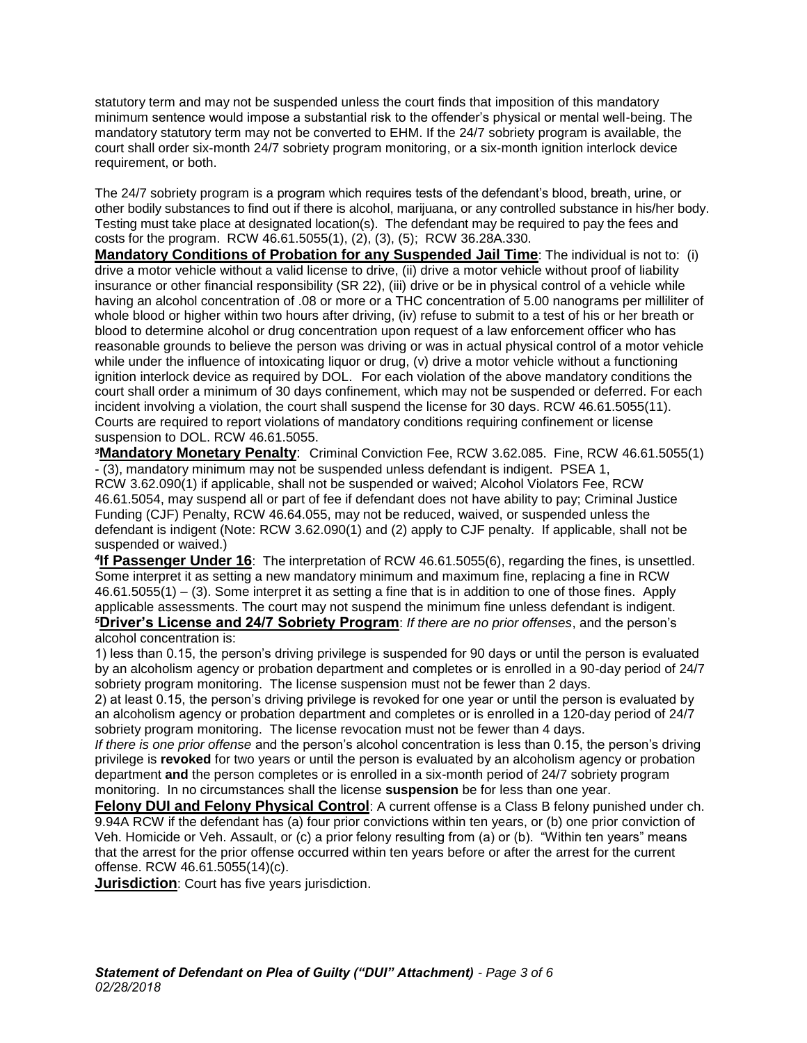statutory term and may not be suspended unless the court finds that imposition of this mandatory minimum sentence would impose a substantial risk to the offender's physical or mental well-being. The mandatory statutory term may not be converted to EHM. If the 24/7 sobriety program is available, the court shall order six-month 24/7 sobriety program monitoring, or a six-month ignition interlock device requirement, or both.

The 24/7 sobriety program is a program which requires tests of the defendant's blood, breath, urine, or other bodily substances to find out if there is alcohol, marijuana, or any controlled substance in his/her body. Testing must take place at designated location(s). The defendant may be required to pay the fees and costs for the program. RCW 46.61.5055(1), (2), (3), (5); RCW 36.28A.330.

**Mandatory Conditions of Probation for any Suspended Jail Time**: The individual is not to: (i) drive a motor vehicle without a valid license to drive, (ii) drive a motor vehicle without proof of liability insurance or other financial responsibility (SR 22), (iii) drive or be in physical control of a vehicle while having an alcohol concentration of .08 or more or a THC concentration of 5.00 nanograms per milliliter of whole blood or higher within two hours after driving, (iv) refuse to submit to a test of his or her breath or blood to determine alcohol or drug concentration upon request of a law enforcement officer who has reasonable grounds to believe the person was driving or was in actual physical control of a motor vehicle while under the influence of intoxicating liquor or drug, (v) drive a motor vehicle without a functioning ignition interlock device as required by DOL. For each violation of the above mandatory conditions the court shall order a minimum of 30 days confinement, which may not be suspended or deferred. For each incident involving a violation, the court shall suspend the license for 30 days. RCW 46.61.5055(11). Courts are required to report violations of mandatory conditions requiring confinement or license suspension to DOL. RCW 46.61.5055.

*<sup>3</sup>***Mandatory Monetary Penalty**: Criminal Conviction Fee, RCW 3.62.085. Fine, RCW 46.61.5055(1) - (3), mandatory minimum may not be suspended unless defendant is indigent. PSEA 1,

RCW 3.62.090(1) if applicable, shall not be suspended or waived; Alcohol Violators Fee, RCW 46.61.5054, may suspend all or part of fee if defendant does not have ability to pay; Criminal Justice Funding (CJF) Penalty, RCW 46.64.055, may not be reduced, waived, or suspended unless the defendant is indigent (Note: RCW 3.62.090(1) and (2) apply to CJF penalty. If applicable, shall not be suspended or waived.)

*4* **If Passenger Under 16**: The interpretation of RCW 46.61.5055(6), regarding the fines, is unsettled. Some interpret it as setting a new mandatory minimum and maximum fine, replacing a fine in RCW 46.61.5055(1) – (3). Some interpret it as setting a fine that is in addition to one of those fines. Apply applicable assessments. The court may not suspend the minimum fine unless defendant is indigent. *<sup>5</sup>***Driver's License and 24/7 Sobriety Program**: *If there are no prior offenses*, and the person's

#### alcohol concentration is:

1) less than 0.15, the person's driving privilege is suspended for 90 days or until the person is evaluated by an alcoholism agency or probation department and completes or is enrolled in a 90-day period of 24/7 sobriety program monitoring. The license suspension must not be fewer than 2 days.

2) at least 0.15, the person's driving privilege is revoked for one year or until the person is evaluated by an alcoholism agency or probation department and completes or is enrolled in a 120-day period of 24/7 sobriety program monitoring. The license revocation must not be fewer than 4 days.

*If there is one prior offense* and the person's alcohol concentration is less than 0.15, the person's driving privilege is **revoked** for two years or until the person is evaluated by an alcoholism agency or probation department **and** the person completes or is enrolled in a six-month period of 24/7 sobriety program monitoring. In no circumstances shall the license **suspension** be for less than one year.

**Felony DUI and Felony Physical Control**: A current offense is a Class B felony punished under ch. 9.94A RCW if the defendant has (a) four prior convictions within ten years, or (b) one prior conviction of Veh. Homicide or Veh. Assault, or (c) a prior felony resulting from (a) or (b). "Within ten years" means that the arrest for the prior offense occurred within ten years before or after the arrest for the current offense. RCW 46.61.5055(14)(c).

**Jurisdiction**: Court has five years jurisdiction.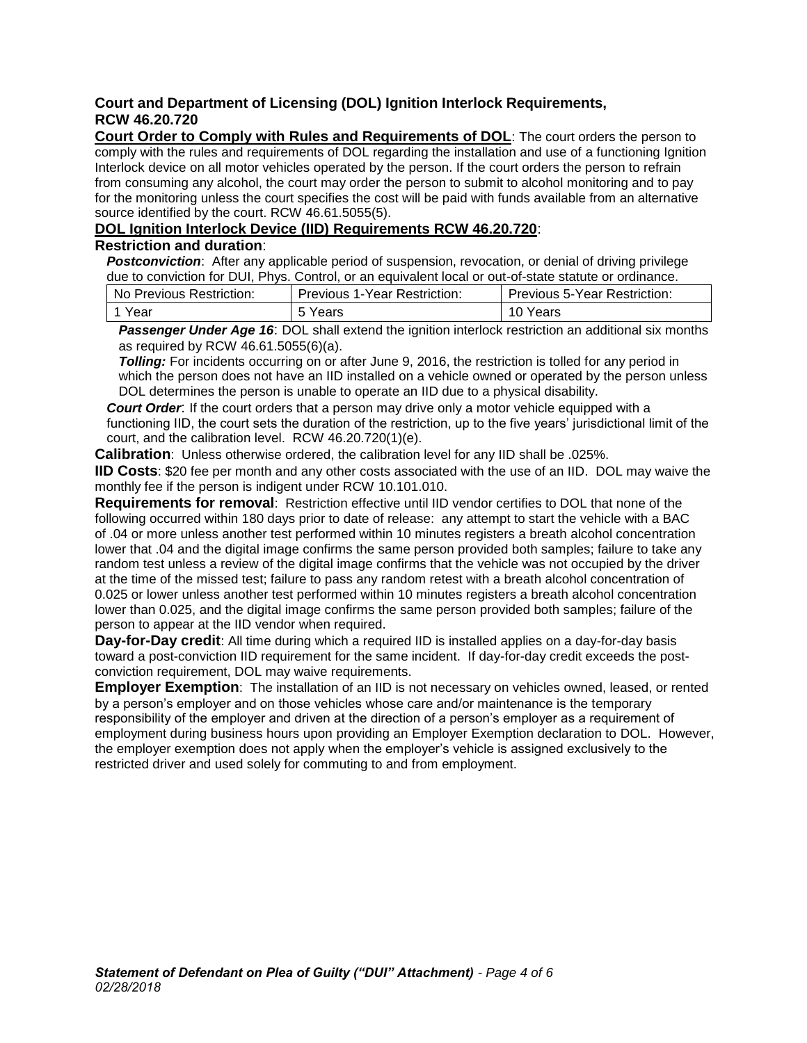## **Court and Department of Licensing (DOL) Ignition Interlock Requirements, RCW 46.20.720**

**Court Order to Comply with Rules and Requirements of DOL**: The court orders the person to comply with the rules and requirements of DOL regarding the installation and use of a functioning Ignition Interlock device on all motor vehicles operated by the person. If the court orders the person to refrain from consuming any alcohol, the court may order the person to submit to alcohol monitoring and to pay for the monitoring unless the court specifies the cost will be paid with funds available from an alternative source identified by the court. RCW 46.61.5055(5).

## **DOL Ignition Interlock Device (IID) Requirements RCW 46.20.720**:

### **Restriction and duration**:

*Postconviction*: After any applicable period of suspension, revocation, or denial of driving privilege due to conviction for DUI, Phys. Control, or an equivalent local or out-of-state statute or ordinance.

| No Previous Restriction: | <b>Previous 1-Year Restriction:</b> | <b>Previous 5-Year Restriction:</b> |
|--------------------------|-------------------------------------|-------------------------------------|
| 1 Year                   | 5 Years                             | 10 Years                            |

**Passenger Under Age 16:** DOL shall extend the ignition interlock restriction an additional six months as required by RCW 46.61.5055(6)(a).

*Tolling:* For incidents occurring on or after June 9, 2016, the restriction is tolled for any period in which the person does not have an IID installed on a vehicle owned or operated by the person unless DOL determines the person is unable to operate an IID due to a physical disability.

*Court Order*: If the court orders that a person may drive only a motor vehicle equipped with a functioning IID, the court sets the duration of the restriction, up to the five years' jurisdictional limit of the court, and the calibration level. RCW 46.20.720(1)(e).

**Calibration**: Unless otherwise ordered, the calibration level for any IID shall be .025%.

**IID Costs**: \$20 fee per month and any other costs associated with the use of an IID. DOL may waive the monthly fee if the person is indigent under RCW 10.101.010.

**Requirements for removal**: Restriction effective until IID vendor certifies to DOL that none of the following occurred within 180 days prior to date of release: any attempt to start the vehicle with a BAC of .04 or more unless another test performed within 10 minutes registers a breath alcohol concentration lower that .04 and the digital image confirms the same person provided both samples; failure to take any random test unless a review of the digital image confirms that the vehicle was not occupied by the driver at the time of the missed test; failure to pass any random retest with a breath alcohol concentration of 0.025 or lower unless another test performed within 10 minutes registers a breath alcohol concentration lower than 0.025, and the digital image confirms the same person provided both samples; failure of the person to appear at the IID vendor when required.

**Day-for-Day credit**: All time during which a required IID is installed applies on a day-for-day basis toward a post-conviction IID requirement for the same incident. If day-for-day credit exceeds the postconviction requirement, DOL may waive requirements.

**Employer Exemption**: The installation of an IID is not necessary on vehicles owned, leased, or rented by a person's employer and on those vehicles whose care and/or maintenance is the temporary responsibility of the employer and driven at the direction of a person's employer as a requirement of employment during business hours upon providing an Employer Exemption declaration to DOL. However, the employer exemption does not apply when the employer's vehicle is assigned exclusively to the restricted driver and used solely for commuting to and from employment.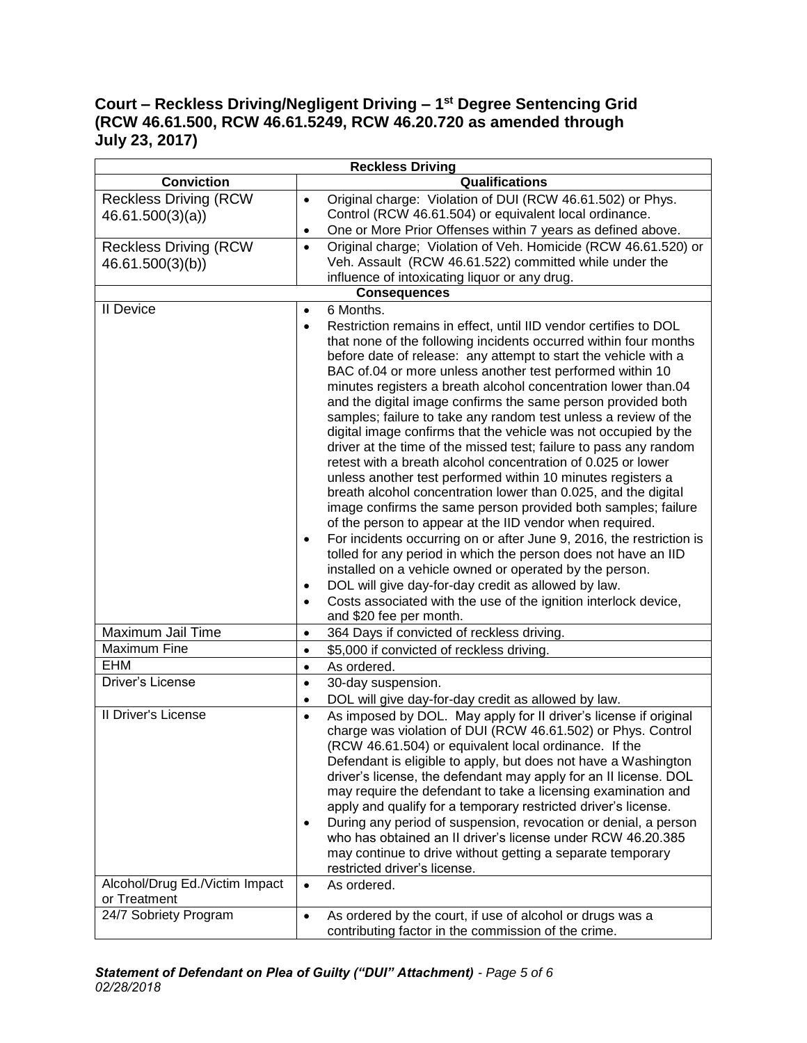# **Court – Reckless Driving/Negligent Driving – 1st Degree Sentencing Grid (RCW 46.61.500, RCW 46.61.5249, RCW 46.20.720 as amended through July 23, 2017)**

| <b>Reckless Driving</b>        |                                                                                                                             |  |  |  |
|--------------------------------|-----------------------------------------------------------------------------------------------------------------------------|--|--|--|
| <b>Conviction</b>              | Qualifications                                                                                                              |  |  |  |
| <b>Reckless Driving (RCW</b>   | Original charge: Violation of DUI (RCW 46.61.502) or Phys.<br>$\bullet$                                                     |  |  |  |
| 46.61.500(3)(a)                | Control (RCW 46.61.504) or equivalent local ordinance.                                                                      |  |  |  |
|                                | One or More Prior Offenses within 7 years as defined above.<br>٠                                                            |  |  |  |
| <b>Reckless Driving (RCW</b>   | Original charge; Violation of Veh. Homicide (RCW 46.61.520) or<br>$\bullet$                                                 |  |  |  |
| 46.61.500(3)(b))               | Veh. Assault (RCW 46.61.522) committed while under the                                                                      |  |  |  |
|                                | influence of intoxicating liquor or any drug.                                                                               |  |  |  |
| <b>Consequences</b>            |                                                                                                                             |  |  |  |
| <b>II</b> Device               | 6 Months.                                                                                                                   |  |  |  |
|                                | Restriction remains in effect, until IID vendor certifies to DOL<br>$\bullet$                                               |  |  |  |
|                                | that none of the following incidents occurred within four months                                                            |  |  |  |
|                                | before date of release: any attempt to start the vehicle with a                                                             |  |  |  |
|                                | BAC of.04 or more unless another test performed within 10<br>minutes registers a breath alcohol concentration lower than.04 |  |  |  |
|                                | and the digital image confirms the same person provided both                                                                |  |  |  |
|                                | samples; failure to take any random test unless a review of the                                                             |  |  |  |
|                                | digital image confirms that the vehicle was not occupied by the                                                             |  |  |  |
|                                | driver at the time of the missed test; failure to pass any random                                                           |  |  |  |
|                                | retest with a breath alcohol concentration of 0.025 or lower                                                                |  |  |  |
|                                | unless another test performed within 10 minutes registers a                                                                 |  |  |  |
|                                | breath alcohol concentration lower than 0.025, and the digital                                                              |  |  |  |
|                                | image confirms the same person provided both samples; failure                                                               |  |  |  |
|                                | of the person to appear at the IID vendor when required.                                                                    |  |  |  |
|                                | For incidents occurring on or after June 9, 2016, the restriction is<br>$\bullet$                                           |  |  |  |
|                                | tolled for any period in which the person does not have an IID                                                              |  |  |  |
|                                | installed on a vehicle owned or operated by the person.                                                                     |  |  |  |
|                                | DOL will give day-for-day credit as allowed by law.<br>$\bullet$                                                            |  |  |  |
|                                | Costs associated with the use of the ignition interlock device,<br>and \$20 fee per month.                                  |  |  |  |
| Maximum Jail Time              | 364 Days if convicted of reckless driving.<br>$\bullet$                                                                     |  |  |  |
| Maximum Fine                   | \$5,000 if convicted of reckless driving.<br>$\bullet$                                                                      |  |  |  |
| <b>EHM</b>                     | As ordered.<br>$\bullet$                                                                                                    |  |  |  |
| Driver's License               | 30-day suspension.<br>$\bullet$                                                                                             |  |  |  |
|                                | DOL will give day-for-day credit as allowed by law.<br>$\bullet$                                                            |  |  |  |
| II Driver's License            | As imposed by DOL. May apply for II driver's license if original<br>$\bullet$                                               |  |  |  |
|                                | charge was violation of DUI (RCW 46.61.502) or Phys. Control                                                                |  |  |  |
|                                | (RCW 46.61.504) or equivalent local ordinance. If the                                                                       |  |  |  |
|                                | Defendant is eligible to apply, but does not have a Washington                                                              |  |  |  |
|                                | driver's license, the defendant may apply for an II license. DOL                                                            |  |  |  |
|                                | may require the defendant to take a licensing examination and                                                               |  |  |  |
|                                | apply and qualify for a temporary restricted driver's license.                                                              |  |  |  |
|                                | During any period of suspension, revocation or denial, a person<br>$\bullet$                                                |  |  |  |
|                                | who has obtained an II driver's license under RCW 46.20.385                                                                 |  |  |  |
|                                | may continue to drive without getting a separate temporary<br>restricted driver's license.                                  |  |  |  |
| Alcohol/Drug Ed./Victim Impact | As ordered.<br>$\bullet$                                                                                                    |  |  |  |
| or Treatment                   |                                                                                                                             |  |  |  |
| 24/7 Sobriety Program          | As ordered by the court, if use of alcohol or drugs was a<br>$\bullet$                                                      |  |  |  |
|                                | contributing factor in the commission of the crime.                                                                         |  |  |  |